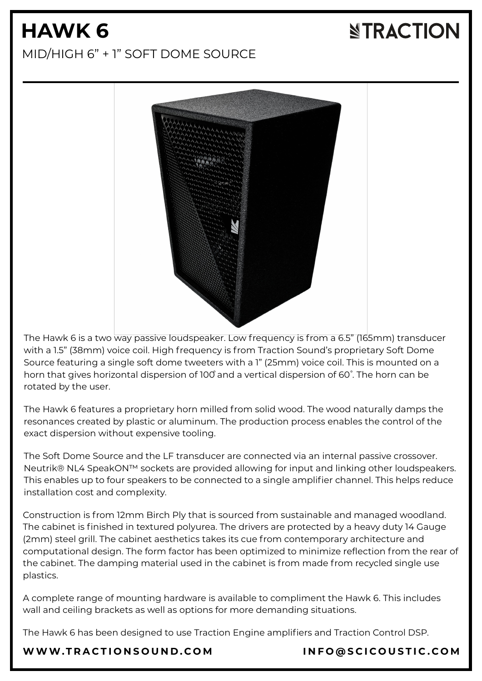## **HAWK 6** MID/HIGH 6" + 1" SOFT DOME SOURCE

The Hawk 6 is a two way passive loudspeaker. Low frequency is from a 6.5" (165mm) transducer with a 1.5" (38mm) voice coil. High frequency is from Traction Sound's proprietary Soft Dome Source featuring a single soft dome tweeters with a 1" (25mm) voice coil. This is mounted on a horn that gives horizontal dispersion of 100° and a vertical dispersion of 60°. The horn can be rotated by the user.

The Hawk 6 features a proprietary horn milled from solid wood. The wood naturally damps the resonances created by plastic or aluminum. The production process enables the control of the exact dispersion without expensive tooling.

The Soft Dome Source and the LF transducer are connected via an internal passive crossover. Neutrik® NL4 SpeakON™ sockets are provided allowing for input and linking other loudspeakers. This enables up to four speakers to be connected to a single amplifier channel. This helps reduce installation cost and complexity.

Construction is from 12mm Birch Ply that is sourced from sustainable and managed woodland. The cabinet is finished in textured polyurea. The drivers are protected by a heavy duty 14 Gauge (2mm) steel grill. The cabinet aesthetics takes its cue from contemporary architecture and computational design. The form factor has been optimized to minimize reflection from the rear of the cabinet. The damping material used in the cabinet is from made from recycled single use plastics.

A complete range of mounting hardware is available to compliment the Hawk 6. This includes wall and ceiling brackets as well as options for more demanding situations.

The Hawk 6 has been designed to use Traction Engine amplifiers and Traction Control DSP.

#### [WWW.T](https://www.tractionsound.com/)RACTIONSOUND.COM INFO[@](mailto:info@scicoustic.com)SCICOUSTIC.COM

# **NTRACTION**